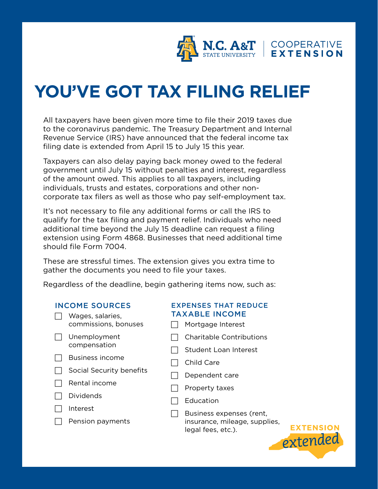

## **YOU'VE GOT TAX FILING RELIEF**

All taxpayers have been given more time to file their 2019 taxes due to the coronavirus pandemic. The Treasury Department and Internal Revenue Service (IRS) have announced that the federal income tax filing date is extended from April 15 to July 15 this year.

Taxpayers can also delay paying back money owed to the federal government until July 15 without penalties and interest, regardless of the amount owed. This applies to all taxpayers, including individuals, trusts and estates, corporations and other noncorporate tax filers as well as those who pay self-employment tax.

It's not necessary to file any additional forms or call the IRS to qualify for the tax filing and payment relief. Individuals who need additional time beyond the July 15 deadline can request a filing extension using Form 4868. Businesses that need additional time should file Form 7004.

These are stressful times. The extension gives you extra time to gather the documents you need to file your taxes.

Regardless of the deadline, begin gathering items now, such as:

## INCOME SOURCES

- $\Box$  Wages, salaries, commissions, bonuses
- $\Box$  Unemployment compensation
- $\Box$  Business income
- $\Box$  Social Security benefits
- $\Box$  Rental income
- $\Box$  Dividends
- $\Box$  Interest
- $\Box$  Pension payments

## EXPENSES THAT REDUCE TAXABLE INCOME

- $\Box$  Mortgage Interest
- $\Box$  Charitable Contributions
- $\Box$  Student Loan Interest
- $\Box$  Child Care
- $\Box$  Dependent care
- $\Box$  Property taxes
- $\Box$  Education
- $\Box$  Business expenses (rent, insurance, mileage, supplies, legal fees, etc.).